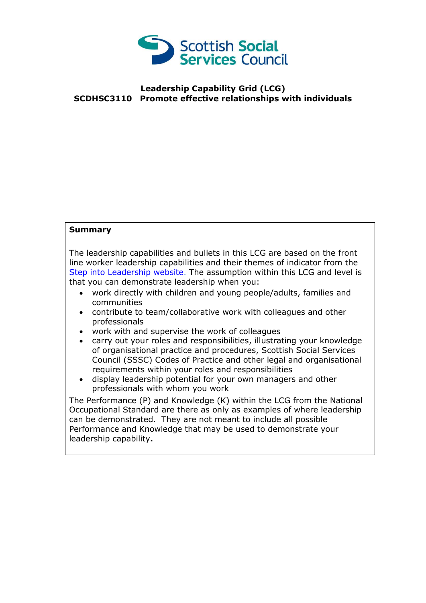

## **Leadership Capability Grid (LCG) SCDHSC3110 Promote effective relationships with individuals**

## **Summary**

The leadership capabilities and bullets in this LCG are based on the front line worker leadership capabilities and their themes of indicator from the [Step into Leadership website.](http://www.stepintoleadership.info/) The assumption within this LCG and level is that you can demonstrate leadership when you:

- work directly with children and young people/adults, families and communities
- contribute to team/collaborative work with colleagues and other professionals
- work with and supervise the work of colleagues
- carry out your roles and responsibilities, illustrating your knowledge of organisational practice and procedures, Scottish Social Services Council (SSSC) Codes of Practice and other legal and organisational requirements within your roles and responsibilities
- display leadership potential for your own managers and other professionals with whom you work

The Performance (P) and Knowledge (K) within the LCG from the National Occupational Standard are there as only as examples of where leadership can be demonstrated. They are not meant to include all possible Performance and Knowledge that may be used to demonstrate your leadership capability**.**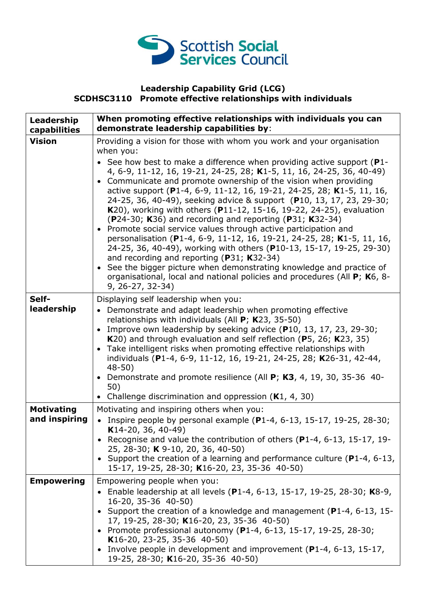

## **Leadership Capability Grid (LCG) SCDHSC3110 Promote effective relationships with individuals**

| Leadership<br>capabilities         | When promoting effective relationships with individuals you can<br>demonstrate leadership capabilities by:                                                                                                                                                                                                                                                                                                                                                                                                                                                                                                                                                                                                                                                                                                                                                                                                                                                                                                                                            |
|------------------------------------|-------------------------------------------------------------------------------------------------------------------------------------------------------------------------------------------------------------------------------------------------------------------------------------------------------------------------------------------------------------------------------------------------------------------------------------------------------------------------------------------------------------------------------------------------------------------------------------------------------------------------------------------------------------------------------------------------------------------------------------------------------------------------------------------------------------------------------------------------------------------------------------------------------------------------------------------------------------------------------------------------------------------------------------------------------|
| <b>Vision</b>                      | Providing a vision for those with whom you work and your organisation<br>when you:<br>• See how best to make a difference when providing active support $(P1$ -<br>4, 6-9, 11-12, 16, 19-21, 24-25, 28; K1-5, 11, 16, 24-25, 36, 40-49)<br>• Communicate and promote ownership of the vision when providing<br>active support (P1-4, 6-9, 11-12, 16, 19-21, 24-25, 28; K1-5, 11, 16,<br>24-25, 36, 40-49), seeking advice & support (P10, 13, 17, 23, 29-30;<br>K20), working with others (P11-12, 15-16, 19-22, 24-25), evaluation<br>(P24-30; K36) and recording and reporting (P31; K32-34)<br>• Promote social service values through active participation and<br>personalisation (P1-4, 6-9, 11-12, 16, 19-21, 24-25, 28; K1-5, 11, 16,<br>24-25, 36, 40-49), working with others (P10-13, 15-17, 19-25, 29-30)<br>and recording and reporting ( $P31$ ; K32-34)<br>• See the bigger picture when demonstrating knowledge and practice of<br>organisational, local and national policies and procedures (All P; K6, 8-<br>$9, 26 - 27, 32 - 34)$ |
| Self-<br>leadership                | Displaying self leadership when you:<br>• Demonstrate and adapt leadership when promoting effective<br>relationships with individuals (All P; K23, 35-50)<br>Improve own leadership by seeking advice (P10, 13, 17, 23, 29-30;<br>K20) and through evaluation and self reflection (P5, 26; K23, 35)<br>Take intelligent risks when promoting effective relationships with<br>individuals (P1-4, 6-9, 11-12, 16, 19-21, 24-25, 28; K26-31, 42-44,<br>$48 - 50$<br>Demonstrate and promote resilience (All P; K3, 4, 19, 30, 35-36 40-<br>$\bullet$<br>50)<br>• Challenge discrimination and oppression $(K1, 4, 30)$                                                                                                                                                                                                                                                                                                                                                                                                                                   |
| <b>Motivating</b><br>and inspiring | Motivating and inspiring others when you:<br>Inspire people by personal example (P1-4, 6-13, 15-17, 19-25, 28-30;<br>K14-20, 36, 40-49)<br>• Recognise and value the contribution of others (P1-4, 6-13, 15-17, 19-<br>25, 28-30; K 9-10, 20, 36, 40-50)<br>• Support the creation of a learning and performance culture ( $P1-4$ , 6-13,<br>15-17, 19-25, 28-30; K16-20, 23, 35-36 40-50)                                                                                                                                                                                                                                                                                                                                                                                                                                                                                                                                                                                                                                                            |
| <b>Empowering</b>                  | Empowering people when you:<br>Enable leadership at all levels (P1-4, 6-13, 15-17, 19-25, 28-30; K8-9,<br>16-20, 35-36 40-50)<br>Support the creation of a knowledge and management (P1-4, 6-13, 15-<br>17, 19-25, 28-30; K16-20, 23, 35-36 40-50)<br>• Promote professional autonomy (P1-4, 6-13, 15-17, 19-25, 28-30;<br>K16-20, 23-25, 35-36 40-50)<br>• Involve people in development and improvement (P1-4, 6-13, 15-17,<br>19-25, 28-30; K16-20, 35-36 40-50)                                                                                                                                                                                                                                                                                                                                                                                                                                                                                                                                                                                   |